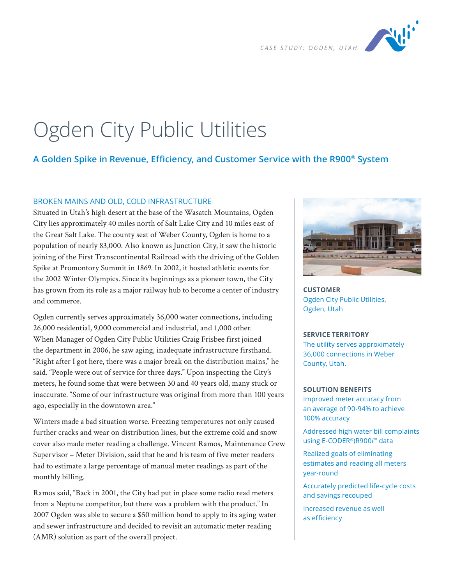

# Ogden City Public Utilities

# **A Golden Spike in Revenue, Efficiency, and Customer Service with the R900® System**

### BROKEN MAINS AND OLD, COLD INFRASTRUCTURE

Situated in Utah's high desert at the base of the Wasatch Mountains, Ogden City lies approximately 40 miles north of Salt Lake City and 10 miles east of the Great Salt Lake. The county seat of Weber County, Ogden is home to a population of nearly 83,000. Also known as Junction City, it saw the historic joining of the First Transcontinental Railroad with the driving of the Golden Spike at Promontory Summit in 1869. In 2002, it hosted athletic events for the 2002 Winter Olympics. Since its beginnings as a pioneer town, the City has grown from its role as a major railway hub to become a center of industry and commerce.

Ogden currently serves approximately 36,000 water connections, including 26,000 residential, 9,000 commercial and industrial, and 1,000 other. When Manager of Ogden City Public Utilities Craig Frisbee first joined the department in 2006, he saw aging, inadequate infrastructure firsthand. "Right after I got here, there was a major break on the distribution mains," he said. "People were out of service for three days." Upon inspecting the City's meters, he found some that were between 30 and 40 years old, many stuck or inaccurate. "Some of our infrastructure was original from more than 100 years ago, especially in the downtown area."

Winters made a bad situation worse. Freezing temperatures not only caused further cracks and wear on distribution lines, but the extreme cold and snow cover also made meter reading a challenge. Vincent Ramos, Maintenance Crew Supervisor – Meter Division, said that he and his team of five meter readers had to estimate a large percentage of manual meter readings as part of the monthly billing.

Ramos said, "Back in 2001, the City had put in place some radio read meters from a Neptune competitor, but there was a problem with the product." In 2007 Ogden was able to secure a \$50 million bond to apply to its aging water and sewer infrastructure and decided to revisit an automatic meter reading (AMR) solution as part of the overall project.



**CUSTOMER** Ogden City Public Utilities, Ogden, Utah

#### **SERVICE TERRITORY**

The utility serves approximately 36,000 connections in Weber County, Utah.

#### **SOLUTION BENEFITS**

Improved meter accuracy from an average of 90-94% to achieve 100% accuracy

Addressed high water bill complaints using E-CODER®)R900*i* ™ data

Realized goals of eliminating estimates and reading all meters year-round

Accurately predicted life-cycle costs and savings recouped

Increased revenue as well as efficiency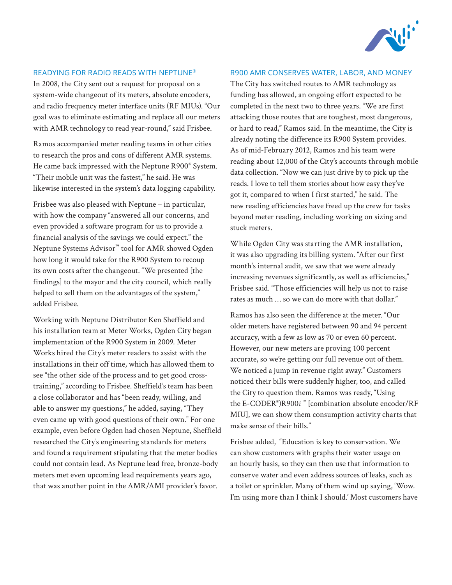

## READYING FOR RADIO READS WITH NEPTUNE®

In 2008, the City sent out a request for proposal on a system-wide changeout of its meters, absolute encoders, and radio frequency meter interface units (RF MIUs). "Our goal was to eliminate estimating and replace all our meters with AMR technology to read year-round," said Frisbee.

Ramos accompanied meter reading teams in other cities to research the pros and cons of different AMR systems. He came back impressed with the Neptune R900® System. "Their mobile unit was the fastest," he said. He was likewise interested in the system's data logging capability.

Frisbee was also pleased with Neptune – in particular, with how the company "answered all our concerns, and even provided a software program for us to provide a financial analysis of the savings we could expect." the Neptune Systems Advisor™ tool for AMR showed Ogden how long it would take for the R900 System to recoup its own costs after the changeout. "We presented [the findings] to the mayor and the city council, which really helped to sell them on the advantages of the system," added Frisbee.

Working with Neptune Distributor Ken Sheffield and his installation team at Meter Works, Ogden City began implementation of the R900 System in 2009. Meter Works hired the City's meter readers to assist with the installations in their off time, which has allowed them to see "the other side of the process and to get good crosstraining," according to Frisbee. Sheffield's team has been a close collaborator and has "been ready, willing, and able to answer my questions," he added, saying, "They even came up with good questions of their own." For one example, even before Ogden had chosen Neptune, Sheffield researched the City's engineering standards for meters and found a requirement stipulating that the meter bodies could not contain lead. As Neptune lead free, bronze-body meters met even upcoming lead requirements years ago, that was another point in the AMR/AMI provider's favor.

#### R900 AMR CONSERVES WATER, LABOR, AND MONEY

The City has switched routes to AMR technology as funding has allowed, an ongoing effort expected to be completed in the next two to three years. "We are first attacking those routes that are toughest, most dangerous, or hard to read," Ramos said. In the meantime, the City is already noting the difference its R900 System provides. As of mid-February 2012, Ramos and his team were reading about 12,000 of the City's accounts through mobile data collection. "Now we can just drive by to pick up the reads. I love to tell them stories about how easy they've got it, compared to when I first started," he said. The new reading efficiencies have freed up the crew for tasks beyond meter reading, including working on sizing and stuck meters.

While Ogden City was starting the AMR installation, it was also upgrading its billing system. "After our first month's internal audit, we saw that we were already increasing revenues significantly, as well as efficiencies," Frisbee said. "Those efficiencies will help us not to raise rates as much … so we can do more with that dollar."

Ramos has also seen the difference at the meter. "Our older meters have registered between 90 and 94 percent accuracy, with a few as low as 70 or even 60 percent. However, our new meters are proving 100 percent accurate, so we're getting our full revenue out of them. We noticed a jump in revenue right away." Customers noticed their bills were suddenly higher, too, and called the City to question them. Ramos was ready, "Using the E-CODER® )R900*i* ™ [combination absolute encoder/RF MIU], we can show them consumption activity charts that make sense of their bills."

Frisbee added, "Education is key to conservation. We can show customers with graphs their water usage on an hourly basis, so they can then use that information to conserve water and even address sources of leaks, such as a toilet or sprinkler. Many of them wind up saying, 'Wow. I'm using more than I think I should.' Most customers have